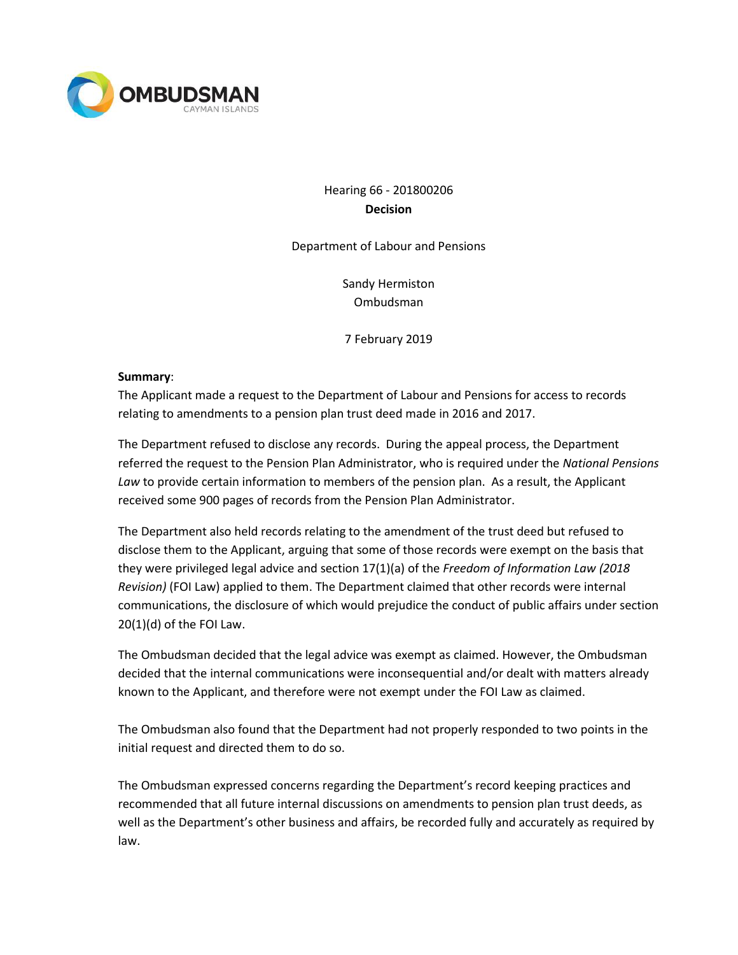

# Hearing 66 - 201800206 **Decision**

Department of Labour and Pensions

Sandy Hermiston Ombudsman

7 February 2019

#### **Summary**:

The Applicant made a request to the Department of Labour and Pensions for access to records relating to amendments to a pension plan trust deed made in 2016 and 2017.

The Department refused to disclose any records. During the appeal process, the Department referred the request to the Pension Plan Administrator, who is required under the *National Pensions Law* to provide certain information to members of the pension plan. As a result, the Applicant received some 900 pages of records from the Pension Plan Administrator.

The Department also held records relating to the amendment of the trust deed but refused to disclose them to the Applicant, arguing that some of those records were exempt on the basis that they were privileged legal advice and section 17(1)(a) of the *Freedom of Information Law (2018 Revision)* (FOI Law) applied to them. The Department claimed that other records were internal communications, the disclosure of which would prejudice the conduct of public affairs under section 20(1)(d) of the FOI Law.

The Ombudsman decided that the legal advice was exempt as claimed. However, the Ombudsman decided that the internal communications were inconsequential and/or dealt with matters already known to the Applicant, and therefore were not exempt under the FOI Law as claimed.

The Ombudsman also found that the Department had not properly responded to two points in the initial request and directed them to do so.

The Ombudsman expressed concerns regarding the Department's record keeping practices and recommended that all future internal discussions on amendments to pension plan trust deeds, as well as the Department's other business and affairs, be recorded fully and accurately as required by law.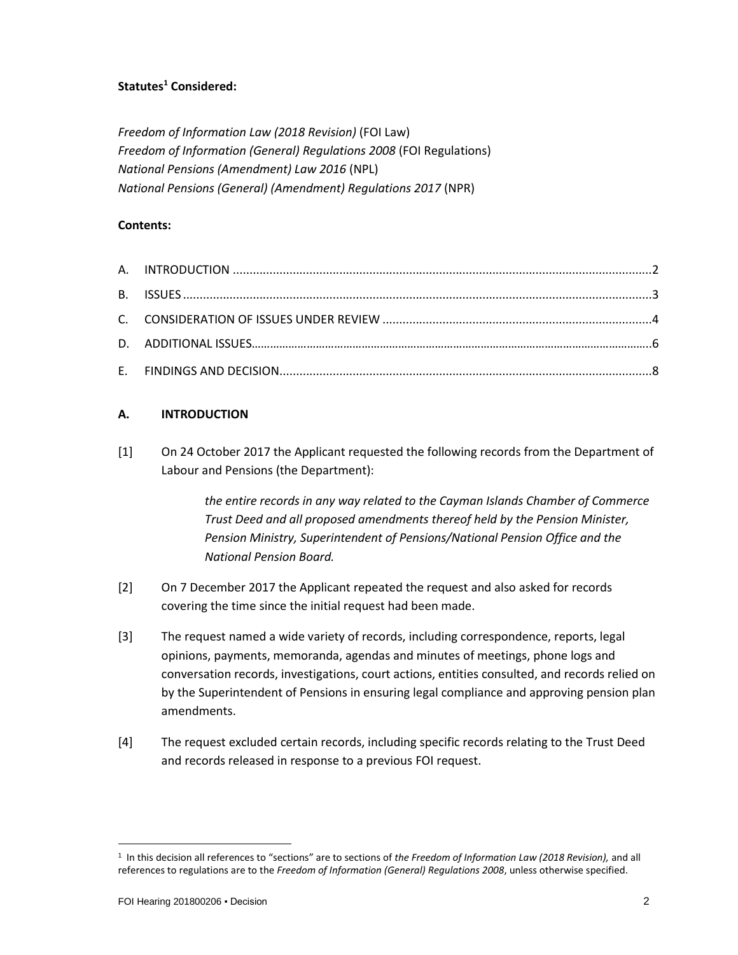## **Statutes<sup>1</sup> Considered:**

*Freedom of Information Law (2018 Revision)* (FOI Law) *Freedom of Information (General) Regulations 2008* (FOI Regulations) *National Pensions (Amendment) Law 2016* (NPL) *National Pensions (General) (Amendment) Regulations 2017* (NPR)

#### **Contents:**

### **A. INTRODUCTION**

[1] On 24 October 2017 the Applicant requested the following records from the Department of Labour and Pensions (the Department):

> *the entire records in any way related to the Cayman Islands Chamber of Commerce Trust Deed and all proposed amendments thereof held by the Pension Minister, Pension Ministry, Superintendent of Pensions/National Pension Office and the National Pension Board.*

- [2] On 7 December 2017 the Applicant repeated the request and also asked for records covering the time since the initial request had been made.
- [3] The request named a wide variety of records, including correspondence, reports, legal opinions, payments, memoranda, agendas and minutes of meetings, phone logs and conversation records, investigations, court actions, entities consulted, and records relied on by the Superintendent of Pensions in ensuring legal compliance and approving pension plan amendments.
- [4] The request excluded certain records, including specific records relating to the Trust Deed and records released in response to a previous FOI request.

 $\overline{a}$ 

<sup>1</sup> In this decision all references to "sections" are to sections of *the Freedom of Information Law (2018 Revision),* and all references to regulations are to the *Freedom of Information (General) Regulations 2008*, unless otherwise specified.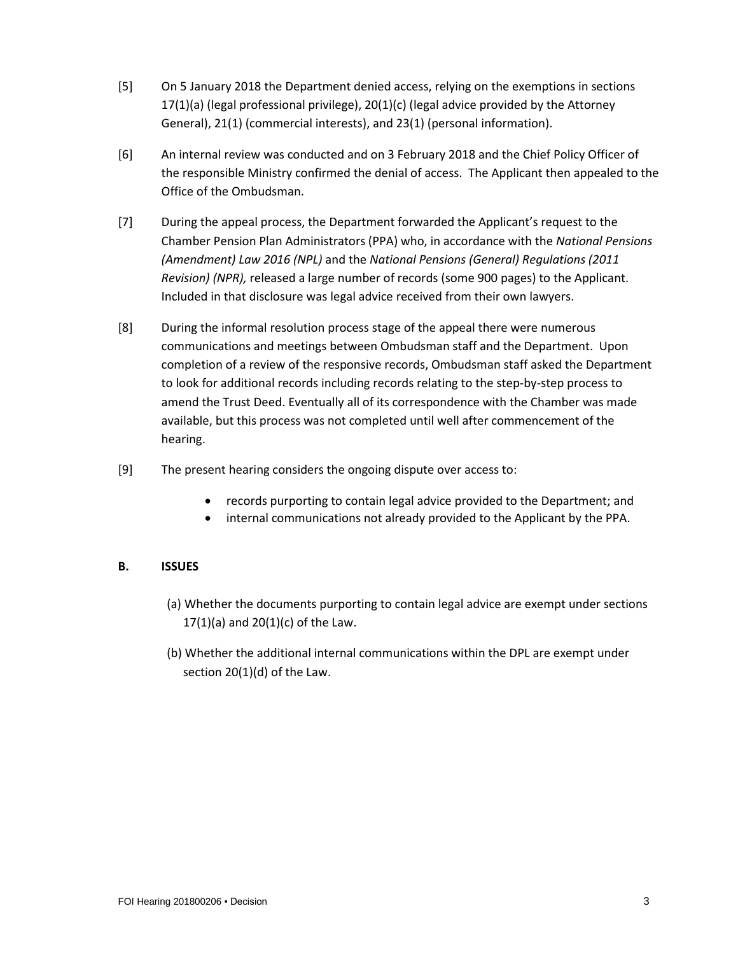- [5] On 5 January 2018 the Department denied access, relying on the exemptions in sections  $17(1)(a)$  (legal professional privilege),  $20(1)(c)$  (legal advice provided by the Attorney General), 21(1) (commercial interests), and 23(1) (personal information).
- [6] An internal review was conducted and on 3 February 2018 and the Chief Policy Officer of the responsible Ministry confirmed the denial of access. The Applicant then appealed to the Office of the Ombudsman.
- [7] During the appeal process, the Department forwarded the Applicant's request to the Chamber Pension Plan Administrators (PPA) who, in accordance with the *National Pensions (Amendment) Law 2016 (NPL)* and the *National Pensions (General) Regulations (2011 Revision) (NPR),* released a large number of records (some 900 pages) to the Applicant. Included in that disclosure was legal advice received from their own lawyers.
- [8] During the informal resolution process stage of the appeal there were numerous communications and meetings between Ombudsman staff and the Department. Upon completion of a review of the responsive records, Ombudsman staff asked the Department to look for additional records including records relating to the step-by-step process to amend the Trust Deed. Eventually all of its correspondence with the Chamber was made available, but this process was not completed until well after commencement of the hearing.
- [9] The present hearing considers the ongoing dispute over access to:
	- records purporting to contain legal advice provided to the Department; and
	- internal communications not already provided to the Applicant by the PPA.

## **B. ISSUES**

- (a) Whether the documents purporting to contain legal advice are exempt under sections 17(1)(a) and  $20(1)(c)$  of the Law.
- (b) Whether the additional internal communications within the DPL are exempt under section 20(1)(d) of the Law.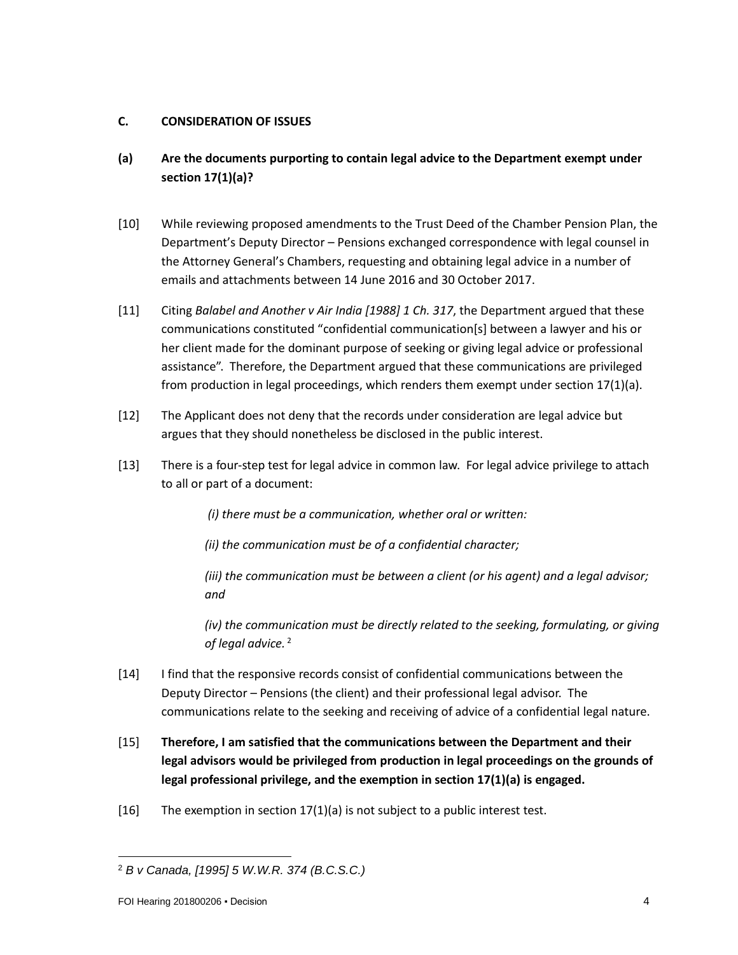## **C. CONSIDERATION OF ISSUES**

- **(a) Are the documents purporting to contain legal advice to the Department exempt under section 17(1)(a)?**
- [10] While reviewing proposed amendments to the Trust Deed of the Chamber Pension Plan, the Department's Deputy Director – Pensions exchanged correspondence with legal counsel in the Attorney General's Chambers, requesting and obtaining legal advice in a number of emails and attachments between 14 June 2016 and 30 October 2017.
- [11] Citing *Balabel and Another v Air India [1988] 1 Ch. 317*, the Department argued that these communications constituted "confidential communication[s] between a lawyer and his or her client made for the dominant purpose of seeking or giving legal advice or professional assistance". Therefore, the Department argued that these communications are privileged from production in legal proceedings, which renders them exempt under section 17(1)(a).
- [12] The Applicant does not deny that the records under consideration are legal advice but argues that they should nonetheless be disclosed in the public interest.
- [13] There is a four-step test for legal advice in common law. For legal advice privilege to attach to all or part of a document:

*(i) there must be a communication, whether oral or written:*

*(ii) the communication must be of a confidential character;*

*(iii) the communication must be between a client (or his agent) and a legal advisor; and*

*(iv) the communication must be directly related to the seeking, formulating, or giving of legal advice.* <sup>2</sup>

- [14] I find that the responsive records consist of confidential communications between the Deputy Director – Pensions (the client) and their professional legal advisor. The communications relate to the seeking and receiving of advice of a confidential legal nature.
- [15] **Therefore, I am satisfied that the communications between the Department and their legal advisors would be privileged from production in legal proceedings on the grounds of legal professional privilege, and the exemption in section 17(1)(a) is engaged.**
- [16] The exemption in section  $17(1)(a)$  is not subject to a public interest test.

 $\overline{a}$ <sup>2</sup> *B v Canada, [1995] 5 W.W.R. 374 (B.C.S.C.)*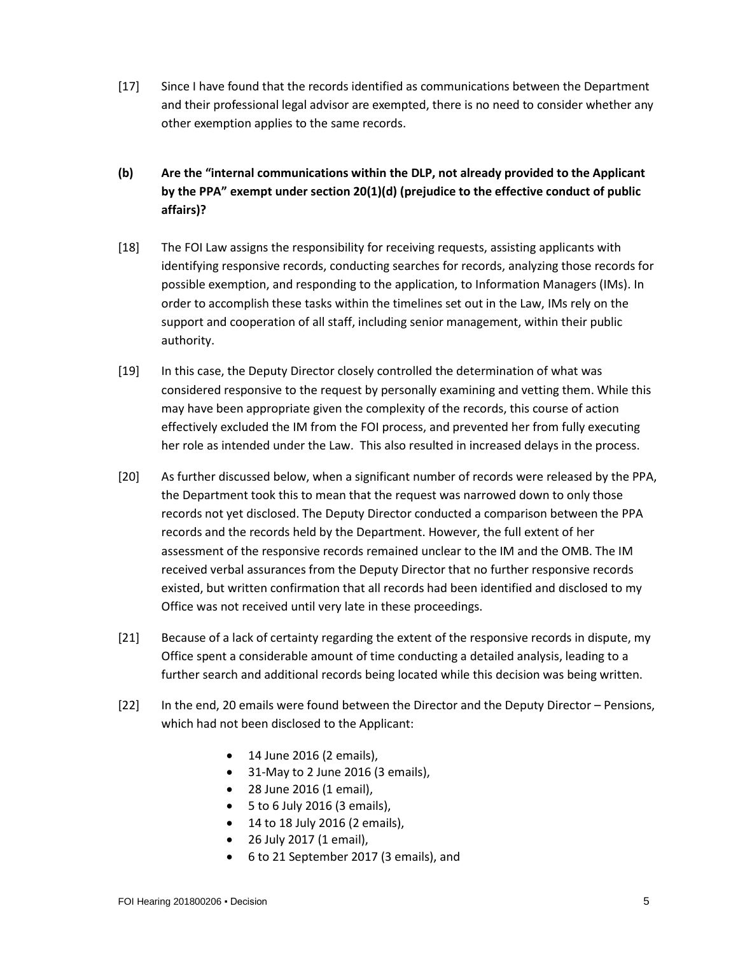- [17] Since I have found that the records identified as communications between the Department and their professional legal advisor are exempted, there is no need to consider whether any other exemption applies to the same records.
- **(b) Are the "internal communications within the DLP, not already provided to the Applicant by the PPA" exempt under section 20(1)(d) (prejudice to the effective conduct of public affairs)?**
- [18] The FOI Law assigns the responsibility for receiving requests, assisting applicants with identifying responsive records, conducting searches for records, analyzing those records for possible exemption, and responding to the application, to Information Managers (IMs). In order to accomplish these tasks within the timelines set out in the Law, IMs rely on the support and cooperation of all staff, including senior management, within their public authority.
- [19] In this case, the Deputy Director closely controlled the determination of what was considered responsive to the request by personally examining and vetting them. While this may have been appropriate given the complexity of the records, this course of action effectively excluded the IM from the FOI process, and prevented her from fully executing her role as intended under the Law. This also resulted in increased delays in the process.
- [20] As further discussed below, when a significant number of records were released by the PPA, the Department took this to mean that the request was narrowed down to only those records not yet disclosed. The Deputy Director conducted a comparison between the PPA records and the records held by the Department. However, the full extent of her assessment of the responsive records remained unclear to the IM and the OMB. The IM received verbal assurances from the Deputy Director that no further responsive records existed, but written confirmation that all records had been identified and disclosed to my Office was not received until very late in these proceedings.
- [21] Because of a lack of certainty regarding the extent of the responsive records in dispute, my Office spent a considerable amount of time conducting a detailed analysis, leading to a further search and additional records being located while this decision was being written.
- [22] In the end, 20 emails were found between the Director and the Deputy Director Pensions, which had not been disclosed to the Applicant:
	- 14 June 2016 (2 emails),
	- 31-May to 2 June 2016 (3 emails),
	- 28 June 2016 (1 email),
	- 5 to 6 July 2016 (3 emails),
	- 14 to 18 July 2016 (2 emails),
	- 26 July 2017 (1 email),
	- 6 to 21 September 2017 (3 emails), and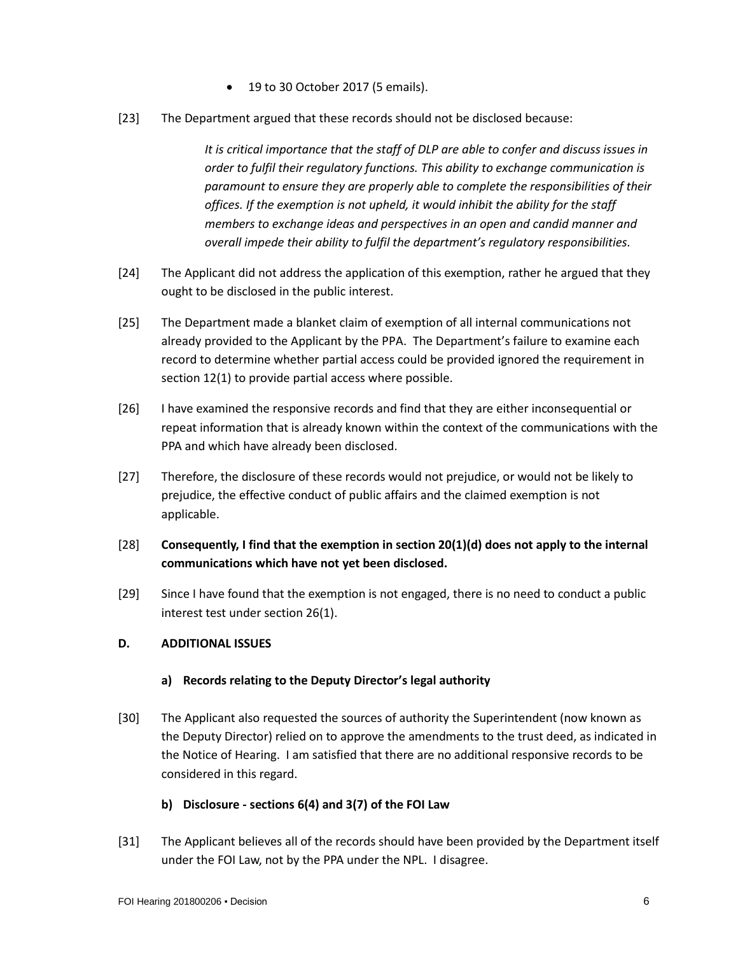- 19 to 30 October 2017 (5 emails).
- [23] The Department argued that these records should not be disclosed because:

*It is critical importance that the staff of DLP are able to confer and discuss issues in order to fulfil their regulatory functions. This ability to exchange communication is paramount to ensure they are properly able to complete the responsibilities of their offices. If the exemption is not upheld, it would inhibit the ability for the staff members to exchange ideas and perspectives in an open and candid manner and overall impede their ability to fulfil the department's regulatory responsibilities.*

- [24] The Applicant did not address the application of this exemption, rather he argued that they ought to be disclosed in the public interest.
- [25] The Department made a blanket claim of exemption of all internal communications not already provided to the Applicant by the PPA. The Department's failure to examine each record to determine whether partial access could be provided ignored the requirement in section 12(1) to provide partial access where possible.
- [26] I have examined the responsive records and find that they are either inconsequential or repeat information that is already known within the context of the communications with the PPA and which have already been disclosed.
- [27] Therefore, the disclosure of these records would not prejudice, or would not be likely to prejudice, the effective conduct of public affairs and the claimed exemption is not applicable.
- [28] **Consequently, I find that the exemption in section 20(1)(d) does not apply to the internal communications which have not yet been disclosed.**
- [29] Since I have found that the exemption is not engaged, there is no need to conduct a public interest test under section 26(1).

#### **D. ADDITIONAL ISSUES**

#### **a) Records relating to the Deputy Director's legal authority**

[30] The Applicant also requested the sources of authority the Superintendent (now known as the Deputy Director) relied on to approve the amendments to the trust deed, as indicated in the Notice of Hearing. I am satisfied that there are no additional responsive records to be considered in this regard.

#### **b) Disclosure - sections 6(4) and 3(7) of the FOI Law**

[31] The Applicant believes all of the records should have been provided by the Department itself under the FOI Law, not by the PPA under the NPL. I disagree.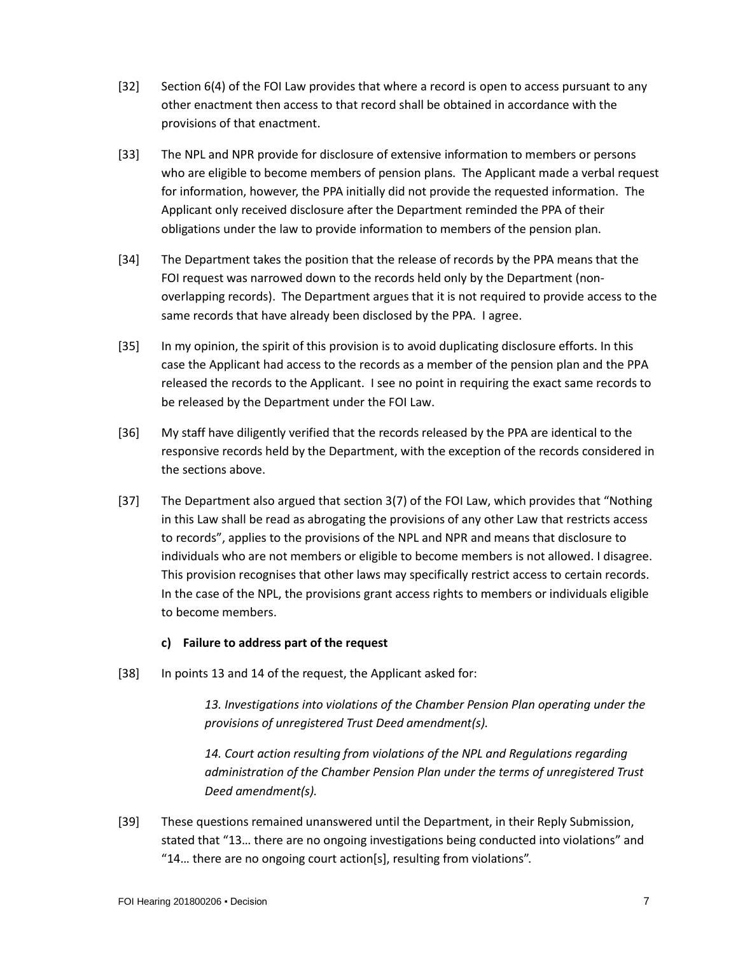- [32] Section 6(4) of the FOI Law provides that where a record is open to access pursuant to any other enactment then access to that record shall be obtained in accordance with the provisions of that enactment.
- [33] The NPL and NPR provide for disclosure of extensive information to members or persons who are eligible to become members of pension plans. The Applicant made a verbal request for information, however, the PPA initially did not provide the requested information. The Applicant only received disclosure after the Department reminded the PPA of their obligations under the law to provide information to members of the pension plan.
- [34] The Department takes the position that the release of records by the PPA means that the FOI request was narrowed down to the records held only by the Department (nonoverlapping records). The Department argues that it is not required to provide access to the same records that have already been disclosed by the PPA. I agree.
- [35] In my opinion, the spirit of this provision is to avoid duplicating disclosure efforts. In this case the Applicant had access to the records as a member of the pension plan and the PPA released the records to the Applicant. I see no point in requiring the exact same records to be released by the Department under the FOI Law.
- [36] My staff have diligently verified that the records released by the PPA are identical to the responsive records held by the Department, with the exception of the records considered in the sections above.
- [37] The Department also argued that section 3(7) of the FOI Law, which provides that "Nothing in this Law shall be read as abrogating the provisions of any other Law that restricts access to records", applies to the provisions of the NPL and NPR and means that disclosure to individuals who are not members or eligible to become members is not allowed. I disagree. This provision recognises that other laws may specifically restrict access to certain records. In the case of the NPL, the provisions grant access rights to members or individuals eligible to become members.

## **c) Failure to address part of the request**

[38] In points 13 and 14 of the request, the Applicant asked for:

*13. Investigations into violations of the Chamber Pension Plan operating under the provisions of unregistered Trust Deed amendment(s).*

14. Court action resulting from violations of the NPL and Regulations regarding *administration of the Chamber Pension Plan under the terms of unregistered Trust Deed amendment(s).*

[39] These questions remained unanswered until the Department, in their Reply Submission, stated that "13… there are no ongoing investigations being conducted into violations" and "14… there are no ongoing court action[s], resulting from violations".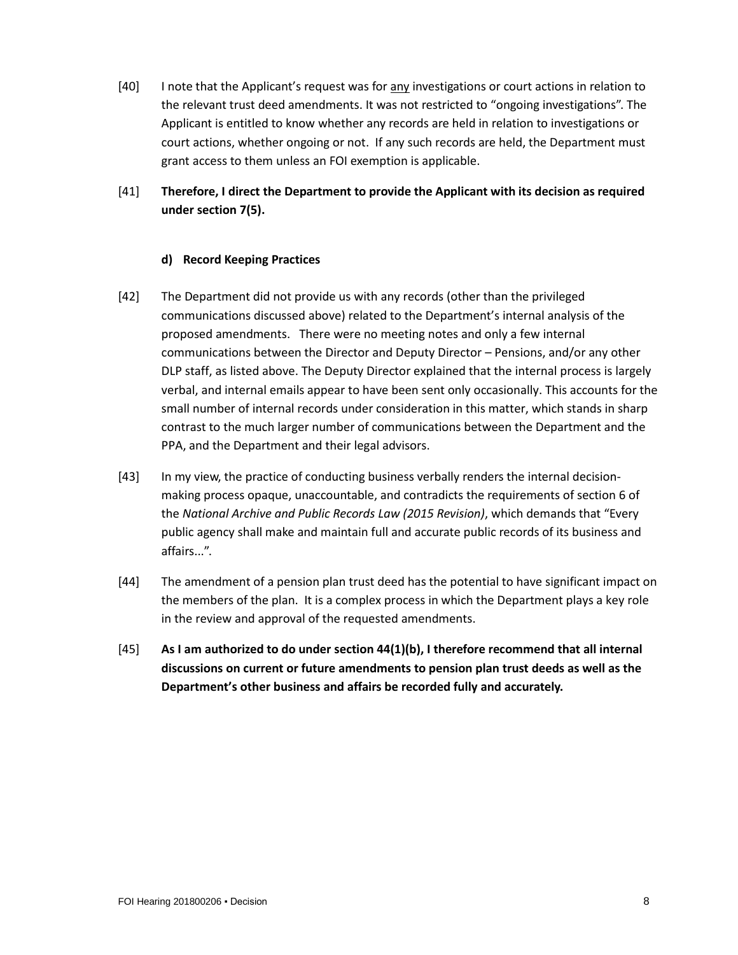- [40] I note that the Applicant's request was for any investigations or court actions in relation to the relevant trust deed amendments. It was not restricted to "ongoing investigations". The Applicant is entitled to know whether any records are held in relation to investigations or court actions, whether ongoing or not. If any such records are held, the Department must grant access to them unless an FOI exemption is applicable.
- [41] **Therefore, I direct the Department to provide the Applicant with its decision as required under section 7(5).**

#### **d) Record Keeping Practices**

- [42] The Department did not provide us with any records (other than the privileged communications discussed above) related to the Department's internal analysis of the proposed amendments. There were no meeting notes and only a few internal communications between the Director and Deputy Director – Pensions, and/or any other DLP staff, as listed above. The Deputy Director explained that the internal process is largely verbal, and internal emails appear to have been sent only occasionally. This accounts for the small number of internal records under consideration in this matter, which stands in sharp contrast to the much larger number of communications between the Department and the PPA, and the Department and their legal advisors.
- [43] In my view, the practice of conducting business verbally renders the internal decisionmaking process opaque, unaccountable, and contradicts the requirements of section 6 of the *National Archive and Public Records Law (2015 Revision)*, which demands that "Every public agency shall make and maintain full and accurate public records of its business and affairs...".
- [44] The amendment of a pension plan trust deed has the potential to have significant impact on the members of the plan. It is a complex process in which the Department plays a key role in the review and approval of the requested amendments.
- [45] **As I am authorized to do under section 44(1)(b), I therefore recommend that all internal discussions on current or future amendments to pension plan trust deeds as well as the Department's other business and affairs be recorded fully and accurately.**